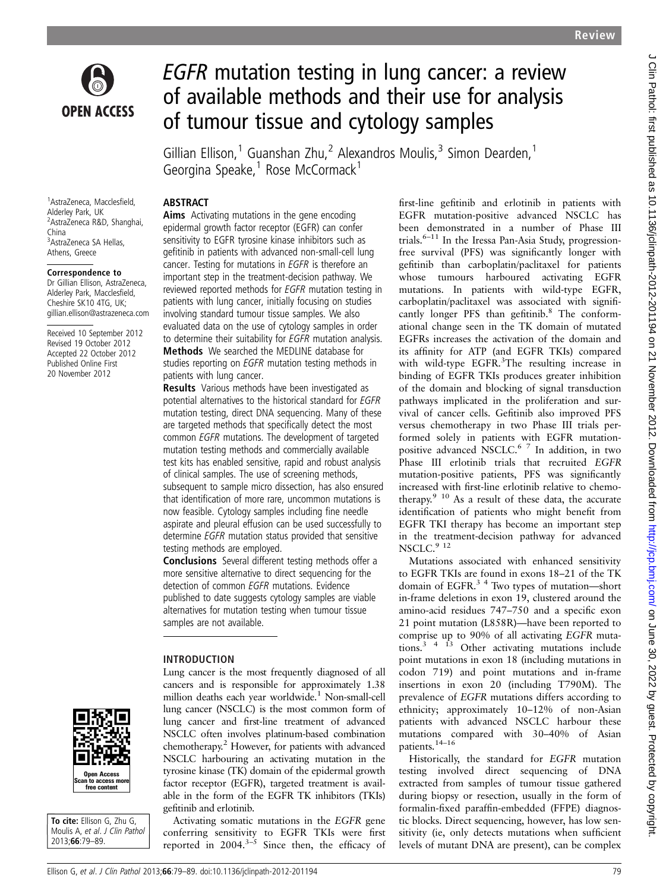

# EGFR mutation testing in lung cancer: a review of available methods and their use for analysis of tumour tissue and cytology samples

Gillian Ellison,<sup>1</sup> Guanshan Zhu,<sup>2</sup> Alexandros Moulis,<sup>3</sup> Simon Dearden,<sup>1</sup> Georgina Speake, $1$  Rose McCormack $1$ 

1 AstraZeneca, Macclesfield, Alderley Park, UK <sup>2</sup> AstraZeneca R&D, Shanghai, China 3 AstraZeneca SA Hellas, Athens, Greece

#### Correspondence to

Dr Gillian Ellison, AstraZeneca, Alderley Park, Macclesfield, Cheshire SK10 4TG, UK; gillian.ellison@astrazeneca.com

Received 10 September 2012 Revised 19 October 2012 Accepted 22 October 2012 Published Online First 20 November 2012



To cite: Ellison G, Zhu G, Moulis A, et al. J Clin Pathol 2013;66:79–89.

### **ABSTRACT**

Aims Activating mutations in the gene encoding epidermal growth factor receptor (EGFR) can confer sensitivity to EGFR tyrosine kinase inhibitors such as gefitinib in patients with advanced non-small-cell lung cancer. Testing for mutations in EGFR is therefore an important step in the treatment-decision pathway. We reviewed reported methods for EGFR mutation testing in patients with lung cancer, initially focusing on studies involving standard tumour tissue samples. We also evaluated data on the use of cytology samples in order to determine their suitability for EGFR mutation analysis. Methods We searched the MEDLINE database for studies reporting on EGFR mutation testing methods in patients with lung cancer.

Results Various methods have been investigated as potential alternatives to the historical standard for EGFR mutation testing, direct DNA sequencing. Many of these are targeted methods that specifically detect the most common EGFR mutations. The development of targeted mutation testing methods and commercially available test kits has enabled sensitive, rapid and robust analysis of clinical samples. The use of screening methods, subsequent to sample micro dissection, has also ensured that identification of more rare, uncommon mutations is now feasible. Cytology samples including fine needle aspirate and pleural effusion can be used successfully to determine EGFR mutation status provided that sensitive testing methods are employed.

Conclusions Several different testing methods offer a more sensitive alternative to direct sequencing for the detection of common EGFR mutations. Evidence published to date suggests cytology samples are viable alternatives for mutation testing when tumour tissue samples are not available.

### INTRODUCTION

Lung cancer is the most frequently diagnosed of all cancers and is responsible for approximately 1.38 million deaths each year worldwide.1 Non-small-cell lung cancer (NSCLC) is the most common form of lung cancer and first-line treatment of advanced NSCLC often involves platinum-based combination chemotherapy.2 However, for patients with advanced NSCLC harbouring an activating mutation in the tyrosine kinase (TK) domain of the epidermal growth factor receptor (EGFR), targeted treatment is available in the form of the EGFR TK inhibitors (TKIs) gefitinib and erlotinib.

Activating somatic mutations in the EGFR gene conferring sensitivity to EGFR TKIs were first reported in  $2004$ .<sup>3-5</sup> Since then, the efficacy of

first-line gefitinib and erlotinib in patients with EGFR mutation-positive advanced NSCLC has been demonstrated in a number of Phase III trials.<sup>6-11</sup> In the Iressa Pan-Asia Study, progressionfree survival (PFS) was significantly longer with gefitinib than carboplatin/paclitaxel for patients whose tumours harboured activating EGFR mutations. In patients with wild-type EGFR, carboplatin/paclitaxel was associated with significantly longer PFS than gefitinib.<sup>8</sup> The conformational change seen in the TK domain of mutated EGFRs increases the activation of the domain and its affinity for ATP (and EGFR TKIs) compared with wild-type EGFR.<sup>3</sup>The resulting increase in binding of EGFR TKIs produces greater inhibition of the domain and blocking of signal transduction pathways implicated in the proliferation and survival of cancer cells. Gefitinib also improved PFS versus chemotherapy in two Phase III trials performed solely in patients with EGFR mutationpositive advanced NSCLC.6 7 In addition, in two Phase III erlotinib trials that recruited EGFR mutation-positive patients, PFS was significantly increased with first-line erlotinib relative to chemotherapy.9 10 As a result of these data, the accurate identification of patients who might benefit from EGFR TKI therapy has become an important step in the treatment-decision pathway for advanced NSCLC.<sup>9</sup> <sup>12</sup>

Mutations associated with enhanced sensitivity to EGFR TKIs are found in exons 18–21 of the TK domain of EGFR.<sup>3</sup> <sup>4</sup> Two types of mutation—short in-frame deletions in exon 19, clustered around the amino-acid residues 747–750 and a specific exon 21 point mutation (L858R)—have been reported to comprise up to 90% of all activating EGFR muta $tanh<sup>3</sup> + 13$  Other activating mutations include point mutations in exon 18 (including mutations in codon 719) and point mutations and in-frame insertions in exon 20 (including T790M). The prevalence of EGFR mutations differs according to ethnicity; approximately 10–12% of non-Asian patients with advanced NSCLC harbour these mutations compared with 30–40% of Asian patients.14–<sup>16</sup>

Historically, the standard for EGFR mutation testing involved direct sequencing of DNA extracted from samples of tumour tissue gathered during biopsy or resection, usually in the form of formalin-fixed paraffin-embedded (FFPE) diagnostic blocks. Direct sequencing, however, has low sensitivity (ie, only detects mutations when sufficient levels of mutant DNA are present), can be complex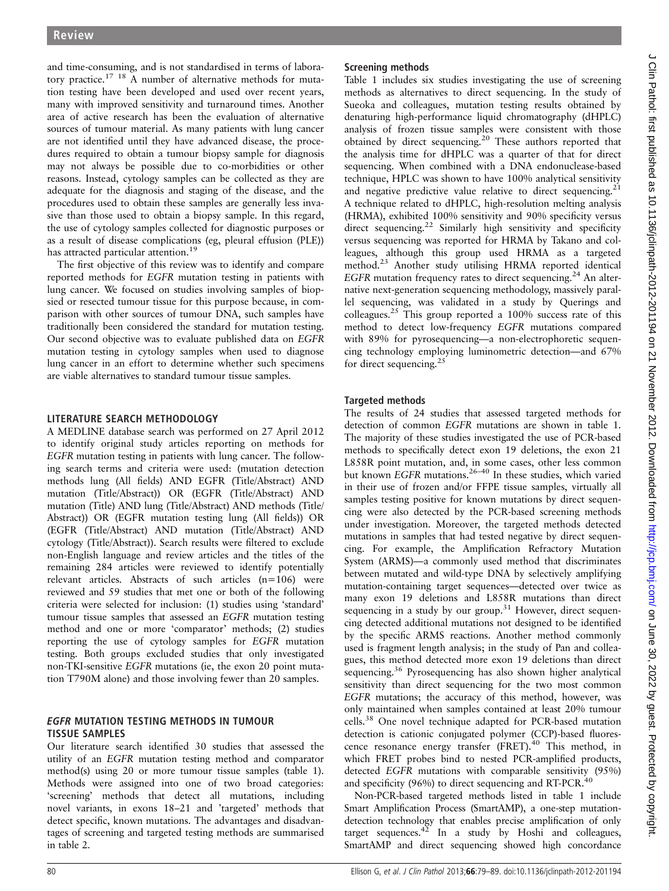and time-consuming, and is not standardised in terms of laboratory practice.<sup>17</sup> <sup>18</sup> A number of alternative methods for mutation testing have been developed and used over recent years, many with improved sensitivity and turnaround times. Another area of active research has been the evaluation of alternative sources of tumour material. As many patients with lung cancer are not identified until they have advanced disease, the procedures required to obtain a tumour biopsy sample for diagnosis may not always be possible due to co-morbidities or other reasons. Instead, cytology samples can be collected as they are adequate for the diagnosis and staging of the disease, and the procedures used to obtain these samples are generally less invasive than those used to obtain a biopsy sample. In this regard, the use of cytology samples collected for diagnostic purposes or as a result of disease complications (eg, pleural effusion (PLE)) has attracted particular attention.<sup>19</sup>

The first objective of this review was to identify and compare reported methods for EGFR mutation testing in patients with lung cancer. We focused on studies involving samples of biopsied or resected tumour tissue for this purpose because, in comparison with other sources of tumour DNA, such samples have traditionally been considered the standard for mutation testing. Our second objective was to evaluate published data on EGFR mutation testing in cytology samples when used to diagnose lung cancer in an effort to determine whether such specimens are viable alternatives to standard tumour tissue samples.

### LITERATURE SEARCH METHODOLOGY

A MEDLINE database search was performed on 27 April 2012 to identify original study articles reporting on methods for EGFR mutation testing in patients with lung cancer. The following search terms and criteria were used: (mutation detection methods lung (All fields) AND EGFR (Title/Abstract) AND mutation (Title/Abstract)) OR (EGFR (Title/Abstract) AND mutation (Title) AND lung (Title/Abstract) AND methods (Title/ Abstract)) OR (EGFR mutation testing lung (All fields)) OR (EGFR (Title/Abstract) AND mutation (Title/Abstract) AND cytology (Title/Abstract)). Search results were filtered to exclude non-English language and review articles and the titles of the remaining 284 articles were reviewed to identify potentially relevant articles. Abstracts of such articles (n=106) were reviewed and 59 studies that met one or both of the following criteria were selected for inclusion: (1) studies using 'standard' tumour tissue samples that assessed an EGFR mutation testing method and one or more 'comparator' methods; (2) studies reporting the use of cytology samples for EGFR mutation testing. Both groups excluded studies that only investigated non-TKI-sensitive EGFR mutations (ie, the exon 20 point mutation T790M alone) and those involving fewer than 20 samples.

### EGFR MUTATION TESTING METHODS IN TUMOUR TISSUE SAMPLES

Our literature search identified 30 studies that assessed the utility of an EGFR mutation testing method and comparator method(s) using 20 or more tumour tissue samples (table 1). Methods were assigned into one of two broad categories: 'screening' methods that detect all mutations, including novel variants, in exons 18–21 and 'targeted' methods that detect specific, known mutations. The advantages and disadvantages of screening and targeted testing methods are summarised in table 2.

# Screening methods

Table 1 includes six studies investigating the use of screening methods as alternatives to direct sequencing. In the study of Sueoka and colleagues, mutation testing results obtained by denaturing high-performance liquid chromatography (dHPLC) analysis of frozen tissue samples were consistent with those obtained by direct sequencing.<sup>20</sup> These authors reported that the analysis time for dHPLC was a quarter of that for direct sequencing. When combined with a DNA endonuclease-based technique, HPLC was shown to have 100% analytical sensitivity and negative predictive value relative to direct sequencing.<sup>21</sup> A technique related to dHPLC, high-resolution melting analysis (HRMA), exhibited 100% sensitivity and 90% specificity versus direct sequencing.<sup>22</sup> Similarly high sensitivity and specificity versus sequencing was reported for HRMA by Takano and colleagues, although this group used HRMA as a targeted method.23 Another study utilising HRMA reported identical EGFR mutation frequency rates to direct sequencing.<sup>24</sup> An alternative next-generation sequencing methodology, massively parallel sequencing, was validated in a study by Querings and colleagues.25 This group reported a 100% success rate of this method to detect low-frequency EGFR mutations compared with 89% for pyrosequencing—a non-electrophoretic sequencing technology employing luminometric detection—and 67% for direct sequencing. $^{2}$ 

# Targeted methods

The results of 24 studies that assessed targeted methods for detection of common EGFR mutations are shown in table 1. The majority of these studies investigated the use of PCR-based methods to specifically detect exon 19 deletions, the exon 21 L858R point mutation, and, in some cases, other less common but known EGFR mutations.<sup>26–40</sup> In these studies, which varied in their use of frozen and/or FFPE tissue samples, virtually all samples testing positive for known mutations by direct sequencing were also detected by the PCR-based screening methods under investigation. Moreover, the targeted methods detected mutations in samples that had tested negative by direct sequencing. For example, the Amplification Refractory Mutation System (ARMS)—a commonly used method that discriminates between mutated and wild-type DNA by selectively amplifying mutation-containing target sequences—detected over twice as many exon 19 deletions and L858R mutations than direct sequencing in a study by our group.<sup>31</sup> However, direct sequencing detected additional mutations not designed to be identified by the specific ARMS reactions. Another method commonly used is fragment length analysis; in the study of Pan and colleagues, this method detected more exon 19 deletions than direct sequencing.<sup>36</sup> Pyrosequencing has also shown higher analytical sensitivity than direct sequencing for the two most common EGFR mutations; the accuracy of this method, however, was only maintained when samples contained at least 20% tumour cells.<sup>38</sup> One novel technique adapted for PCR-based mutation detection is cationic conjugated polymer (CCP)-based fluorescence resonance energy transfer (FRET).<sup>40</sup> This method, in which FRET probes bind to nested PCR-amplified products, detected EGFR mutations with comparable sensitivity (95%) and specificity (96%) to direct sequencing and RT-PCR.<sup>40</sup>

Non-PCR-based targeted methods listed in table 1 include Smart Amplification Process (SmartAMP), a one-step mutationdetection technology that enables precise amplification of only target sequences. $42$  In a study by Hoshi and colleagues, SmartAMP and direct sequencing showed high concordance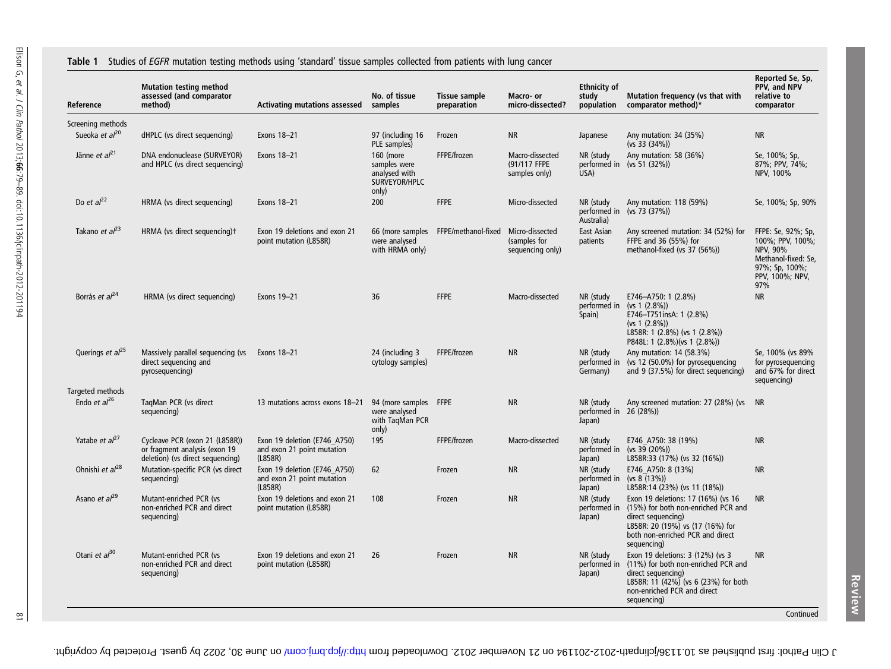#### Table 1 Studies of EGFR mutation testing methods using 'standard' tissue samples collected from patients with lung cancer

| Reference                           | <b>Mutation testing method</b><br>assessed (and comparator<br>method)                               | <b>Activating mutations assessed</b>                                  | No. of tissue<br>samples                                             | Tissue sample<br>preparation                         | Macro- or<br>micro-dissected?                    | <b>Ethnicity of</b><br>study<br>population      | Mutation frequency (vs that with<br>comparator method)*                                                                                                                                | Reported Se, Sp,<br>PPV, and NPV<br>relative to<br>comparator                                                         |
|-------------------------------------|-----------------------------------------------------------------------------------------------------|-----------------------------------------------------------------------|----------------------------------------------------------------------|------------------------------------------------------|--------------------------------------------------|-------------------------------------------------|----------------------------------------------------------------------------------------------------------------------------------------------------------------------------------------|-----------------------------------------------------------------------------------------------------------------------|
| Screening methods                   |                                                                                                     |                                                                       |                                                                      |                                                      |                                                  |                                                 |                                                                                                                                                                                        |                                                                                                                       |
| Sueoka et al <sup>20</sup>          | dHPLC (vs direct sequencing)                                                                        | Exons 18-21                                                           | 97 (including 16<br>PLE samples)                                     | Frozen                                               | <b>NR</b>                                        | Japanese                                        | Any mutation: 34 (35%)<br>(vs 33 (34%)                                                                                                                                                 | <b>NR</b>                                                                                                             |
| Jänne et al <sup>21</sup>           | DNA endonuclease (SURVEYOR)<br>and HPLC (vs direct sequencing)                                      | Exons 18-21                                                           | 160 (more<br>samples were<br>analysed with<br>SURVEYOR/HPLC<br>only) | FFPE/frozen                                          | Macro-dissected<br>(91/117 FFPE<br>samples only) | NR (study<br>USA)                               | Any mutation: 58 (36%)<br>performed in (vs 51 (32%))                                                                                                                                   | Se, 100%; Sp,<br>87%; PPV, 74%;<br>NPV, 100%                                                                          |
| Do et $al22$                        | HRMA (vs direct sequencing)                                                                         | Exons 18-21                                                           | 200                                                                  | <b>FFPE</b>                                          | Micro-dissected                                  | NR (study<br>Australia)                         | Any mutation: 118 (59%)<br>performed in (vs 73 (37%))                                                                                                                                  | Se, 100%; Sp, 90%                                                                                                     |
| Takano et $al^{23}$                 | HRMA (vs direct sequencing)t                                                                        | Exon 19 deletions and exon 21<br>point mutation (L858R)               | were analysed<br>with HRMA only)                                     | 66 (more samples FFPE/methanol-fixed Micro-dissected | (samples for<br>sequencing only)                 | East Asian<br>patients                          | Any screened mutation: 34 (52%) for<br>FFPE and 36 (55%) for<br>methanol-fixed (vs 37 (56%))                                                                                           | FFPE: Se, 92%; Sp,<br>100%; PPV, 100%;<br>NPV, 90%<br>Methanol-fixed: Se,<br>97%; Sp, 100%;<br>PPV, 100%; NPV,<br>97% |
| Borràs et al <sup>24</sup>          | HRMA (vs direct sequencing)                                                                         | Exons 19-21                                                           | 36                                                                   | <b>FFPE</b>                                          | Macro-dissected                                  | NR (study<br>performed in<br>Spain)             | E746-A750: 1 (2.8%)<br>$(vs 1 (2.8\%)$<br>E746-T751insA: 1 (2.8%)<br>$(vs 1 (2.8\%)$<br>L858R: 1 (2.8%) (vs 1 (2.8%))<br>P848L: 1 (2.8%)(vs 1 (2.8%))                                  | <b>NR</b>                                                                                                             |
| Querings <i>et al</i> <sup>25</sup> | Massively parallel sequencing (vs Exons 18-21<br>direct sequencing and<br>pyrosequencing)           |                                                                       | 24 (including 3<br>cytology samples)                                 | FFPE/frozen                                          | <b>NR</b>                                        | NR (study<br>performed in<br>Germany)           | Any mutation: 14 (58.3%)<br>(vs 12 (50.0%) for pyrosequencing<br>and 9 (37.5%) for direct sequencing)                                                                                  | Se, 100% (vs 89%<br>for pyrosequencing<br>and 67% for direct<br>sequencing)                                           |
| Targeted methods                    |                                                                                                     |                                                                       |                                                                      |                                                      |                                                  |                                                 |                                                                                                                                                                                        |                                                                                                                       |
| Endo et $al^{26}$                   | TagMan PCR (vs direct<br>sequencing)                                                                | 13 mutations across exons 18-21                                       | 94 (more samples FFPE<br>were analysed<br>with TaqMan PCR<br>only)   |                                                      | <b>NR</b>                                        | NR (study<br>performed in $26$ (28%))<br>Japan) | Any screened mutation: 27 (28%) (vs NR                                                                                                                                                 |                                                                                                                       |
| Yatabe <i>et</i> $al^{27}$          | Cycleave PCR (exon 21 (L858R))<br>or fragment analysis (exon 19<br>deletion) (vs direct sequencing) | Exon 19 deletion (E746_A750)<br>and exon 21 point mutation<br>(L858R) | 195                                                                  | FFPE/frozen                                          | Macro-dissected                                  | NR (study<br>performed in<br>Japan)             | E746_A750: 38 (19%)<br>$(vs 39 (20\%)$<br>L858R:33 (17%) (vs 32 (16%))                                                                                                                 | <b>NR</b>                                                                                                             |
| Ohnishi et $al^{28}$                | Mutation-specific PCR (vs direct<br>sequencing)                                                     | Exon 19 deletion (E746_A750)<br>and exon 21 point mutation<br>(L858R) | 62                                                                   | Frozen                                               | <b>NR</b>                                        | NR (study<br>performed in<br>Japan)             | E746 A750: 8 (13%)<br>(vs $8(13%)$ )<br>L858R:14 (23%) (vs 11 (18%))                                                                                                                   | <b>NR</b>                                                                                                             |
| Asano et al <sup>29</sup>           | Mutant-enriched PCR (vs<br>non-enriched PCR and direct<br>sequencing)                               | Exon 19 deletions and exon 21<br>point mutation (L858R)               | 108                                                                  | Frozen                                               | <b>NR</b>                                        | NR (study<br>performed in<br>Japan)             | Exon 19 deletions: 17 (16%) (vs 16<br>(15%) for both non-enriched PCR and<br>direct sequencing)<br>L858R: 20 (19%) vs (17 (16%) for<br>both non-enriched PCR and direct<br>sequencing) | <b>NR</b>                                                                                                             |
| Otani et $a^{30}$                   | Mutant-enriched PCR (vs<br>non-enriched PCR and direct<br>sequencing)                               | Exon 19 deletions and exon 21<br>point mutation (L858R)               | 26                                                                   | Frozen                                               | <b>NR</b>                                        | NR (study<br>performed in<br>Japan)             | Exon 19 deletions: 3 (12%) (vs 3<br>(11%) for both non-enriched PCR and<br>direct sequencing)<br>L858R: 11 (42%) (vs 6 (23%) for both<br>non-enriched PCR and direct<br>sequencing)    | <b>NR</b>                                                                                                             |

 $\approx$ 

J Clin Pathol: first bublished as 10.1136/jolinpath-2012-201194 on 21 November 2012. Downloaded from mod June 20, 2012 by guest. Protected by copyright.

Review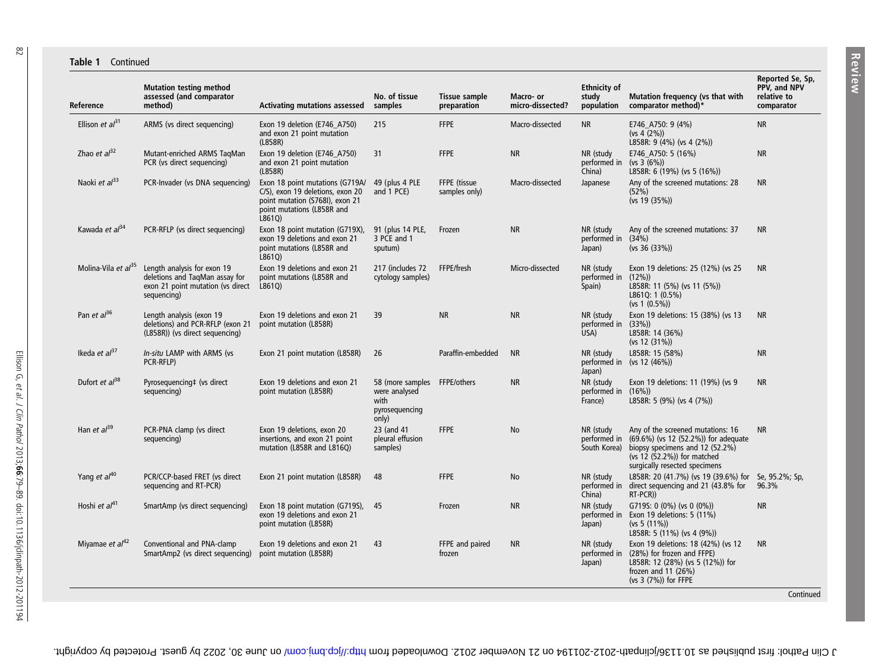#### Table 1 Continued

| Reference                  | <b>Mutation testing method</b><br>assessed (and comparator<br>method)                                             | <b>Activating mutations assessed</b>                                                                                                                         | No. of tissue<br>samples                                                         | Tissue sample<br>preparation  | Macro- or<br>micro-dissected? | <b>Ethnicity of</b><br>study<br>population | Mutation frequency (vs that with<br>comparator method)*                                                                                                                                                    | Reported Se, Sp,<br>PPV, and NPV<br>relative to<br>comparator |
|----------------------------|-------------------------------------------------------------------------------------------------------------------|--------------------------------------------------------------------------------------------------------------------------------------------------------------|----------------------------------------------------------------------------------|-------------------------------|-------------------------------|--------------------------------------------|------------------------------------------------------------------------------------------------------------------------------------------------------------------------------------------------------------|---------------------------------------------------------------|
| Ellison et $al31$          | ARMS (vs direct sequencing)                                                                                       | Exon 19 deletion (E746 A750)<br>and exon 21 point mutation<br>(L858R)                                                                                        | 215                                                                              | <b>FFPE</b>                   | Macro-dissected               | <b>NR</b>                                  | E746 A750: 9 (4%)<br>(vs 4 (2%)<br>L858R: 9 (4%) (vs 4 (2%))                                                                                                                                               | <b>NR</b>                                                     |
| Zhao et $al^{32}$          | Mutant-enriched ARMS TaqMan<br>PCR (vs direct sequencing)                                                         | Exon 19 deletion (E746_A750)<br>and exon 21 point mutation<br>(L858R)                                                                                        | 31                                                                               | <b>FFPE</b>                   | <b>NR</b>                     | NR (study<br>performed in<br>China)        | E746_A750: 5 (16%)<br>(ys 3 (6%)<br>L858R: 6 (19%) (vs 5 (16%))                                                                                                                                            | <b>NR</b>                                                     |
| Naoki et al <sup>33</sup>  | PCR-Invader (vs DNA sequencing)                                                                                   | Exon 18 point mutations (G719A/ 49 (plus 4 PLE<br>C/S), exon 19 deletions, exon 20<br>point mutation (S768I), exon 21<br>point mutations (L858R and<br>L861Q | and 1 PCE)                                                                       | FFPE (tissue<br>samples only) | Macro-dissected               | Japanese                                   | Any of the screened mutations: 28<br>(52%)<br>(vs 19 (35%)                                                                                                                                                 | <b>NR</b>                                                     |
| Kawada et al <sup>34</sup> | PCR-RFLP (vs direct sequencing)                                                                                   | Exon 18 point mutation (G719X), 91 (plus 14 PLE,<br>exon 19 deletions and exon 21<br>point mutations (L858R and<br>L861Q)                                    | 3 PCE and 1<br>sputum)                                                           | Frozen                        | <b>NR</b>                     | NR (study<br>performed in (34%)<br>Japan)  | Any of the screened mutations: 37<br>(vs 36 (33%)                                                                                                                                                          | <b>NR</b>                                                     |
| Molina-Vila et $a^{35}$    | Length analysis for exon 19<br>deletions and TaqMan assay for<br>exon 21 point mutation (vs direct<br>sequencing) | Exon 19 deletions and exon 21<br>point mutations (L858R and<br>L8610)                                                                                        | 217 (includes 72)<br>cytology samples)                                           | FFPE/fresh                    | Micro-dissected               | NR (study<br>performed in<br>Spain)        | Exon 19 deletions: 25 (12%) (vs 25<br>$(12\%)$<br>L858R: 11 (5%) (vs 11 (5%))<br>L861Q: 1 (0.5%)<br>$(vs 1 (0.5\%)$                                                                                        | <b>NR</b>                                                     |
| Pan et $a^{36}$            | Length analysis (exon 19<br>deletions) and PCR-RFLP (exon 21<br>(L858R)) (vs direct sequencing)                   | Exon 19 deletions and exon 21<br>point mutation (L858R)                                                                                                      | 39                                                                               | <b>NR</b>                     | <b>NR</b>                     | NR (study<br>performed in<br>USA)          | Exon 19 deletions: 15 (38%) (vs 13<br>(33%)<br>L858R: 14 (36%)<br>(vs 12 (31%)                                                                                                                             | <b>NR</b>                                                     |
| Ikeda et $al37$            | In-situ LAMP with ARMS (vs<br>PCR-RFLP)                                                                           | Exon 21 point mutation (L858R)                                                                                                                               | 26                                                                               | Paraffin-embedded             | <b>NR</b>                     | NR (study<br>Japan)                        | L858R: 15 (58%)<br>performed in (vs 12 (46%))                                                                                                                                                              | <b>NR</b>                                                     |
| Dufort et $a^{38}$         | Pyrosequencing# (vs direct<br>sequencing)                                                                         | Exon 19 deletions and exon 21<br>point mutation (L858R)                                                                                                      | 58 (more samples FFPE/others<br>were analysed<br>with<br>pyrosequencing<br>only) |                               | <b>NR</b>                     | NR (study<br>performed in<br>France)       | Exon 19 deletions: 11 (19%) (vs 9<br>(16%)<br>L858R: 5 (9%) (vs 4 (7%))                                                                                                                                    | <b>NR</b>                                                     |
| Han et $al^{39}$           | PCR-PNA clamp (vs direct<br>sequencing)                                                                           | Exon 19 deletions, exon 20<br>insertions, and exon 21 point<br>mutation (L858R and L816Q)                                                                    | 23 (and 41<br>pleural effusion<br>samples)                                       | <b>FFPE</b>                   | <b>No</b>                     | NR (study                                  | Any of the screened mutations: 16<br>performed in $(69.6\%)$ (vs 12 (52.2%)) for adequate<br>South Korea) biopsy specimens and 12 (52.2%)<br>$(vs 12 (52.2%)$ for matched<br>surgically resected specimens | <b>NR</b>                                                     |
| Yang et al <sup>40</sup>   | PCR/CCP-based FRET (vs direct<br>sequencing and RT-PCR)                                                           | Exon 21 point mutation (L858R)                                                                                                                               | 48                                                                               | <b>FFPE</b>                   | No                            | NR (study<br>performed in<br>China)        | L858R: 20 (41.7%) (vs 19 (39.6%) for Se, 95.2%; Sp,<br>direct sequencing and 21 (43.8% for<br>RT-PCR))                                                                                                     | 96.3%                                                         |
| Hoshi et $a^{41}$          | SmartAmp (vs direct sequencing)                                                                                   | Exon 18 point mutation (G719S),<br>exon 19 deletions and exon 21<br>point mutation (L858R)                                                                   | - 45                                                                             | Frozen                        | <b>NR</b>                     | NR (study<br>performed in<br>Japan)        | G719S: 0 (0%) (vs 0 (0%))<br>Exon 19 deletions: 5 (11%)<br>(vs 5 (11%)<br>L858R: 5 (11%) (vs 4 (9%))                                                                                                       | <b>NR</b>                                                     |
| Miyamae et $al^{42}$       | Conventional and PNA-clamp<br>SmartAmp2 (vs direct sequencing) point mutation (L858R)                             | Exon 19 deletions and exon 21                                                                                                                                | 43                                                                               | FFPE and paired<br>frozen     | <b>NR</b>                     | NR (study<br>performed in<br>Japan)        | Exon 19 deletions: 18 (42%) (vs 12<br>(28%) for frozen and FFPE)<br>L858R: 12 (28%) (vs 5 (12%)) for<br>frozen and $11$ (26%)<br>(vs 3 (7%)) for FFPE                                                      | <b>NR</b><br>Continued                                        |

82

J Clin Pathol: first published as 10.136/jclinpathish-2012 on 21 November 2012. Downloaded from http://jcp.bm/ on June 30, 2022 by guest. Protected by copyright.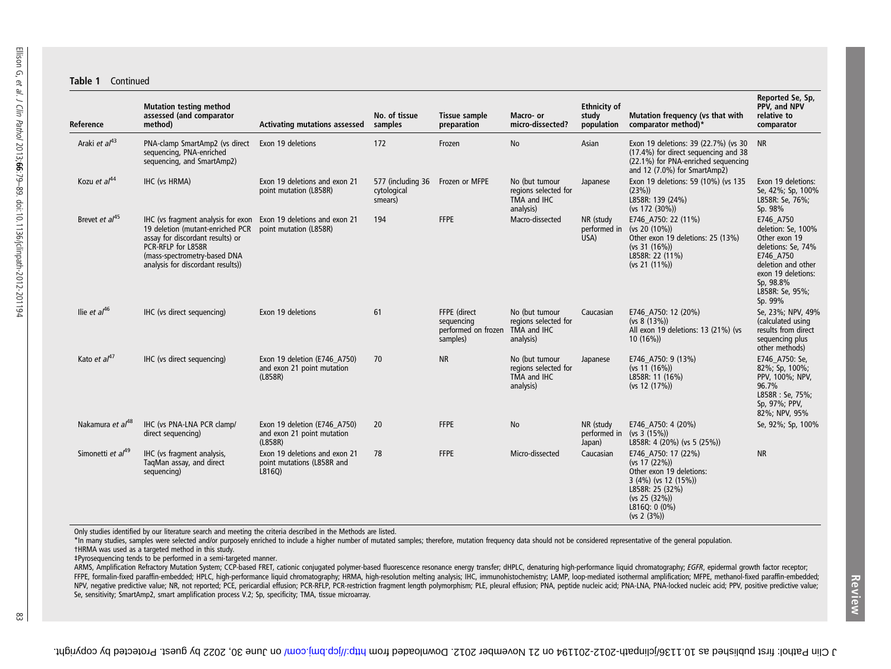#### Table 1 Continued

| Reference                     | <b>Mutation testing method</b><br>assessed (and comparator<br>method)                                                                                                                                 | <b>Activating mutations assessed</b>                                  | No. of tissue<br>samples                    | Tissue sample<br>preparation                                  | Macro- or<br>micro-dissected?                                      | <b>Ethnicity of</b><br>study<br>population | Mutation frequency (vs that with<br>comparator method)*                                                                                                      | Reported Se, Sp,<br>PPV, and NPV<br>relative to<br>comparator                                                                                                              |
|-------------------------------|-------------------------------------------------------------------------------------------------------------------------------------------------------------------------------------------------------|-----------------------------------------------------------------------|---------------------------------------------|---------------------------------------------------------------|--------------------------------------------------------------------|--------------------------------------------|--------------------------------------------------------------------------------------------------------------------------------------------------------------|----------------------------------------------------------------------------------------------------------------------------------------------------------------------------|
| Araki et al <sup>43</sup>     | PNA-clamp SmartAmp2 (vs direct<br>sequencing, PNA-enriched<br>sequencing, and SmartAmp2)                                                                                                              | Exon 19 deletions                                                     | 172                                         | Frozen                                                        | No                                                                 | Asian                                      | Exon 19 deletions: 39 (22.7%) (vs 30<br>(17.4%) for direct sequencing and 38<br>(22.1%) for PNA-enriched sequencing<br>and 12 (7.0%) for SmartAmp2)          | <b>NR</b>                                                                                                                                                                  |
| Kozu et al <sup>44</sup>      | IHC (vs HRMA)                                                                                                                                                                                         | Exon 19 deletions and exon 21<br>point mutation (L858R)               | 577 (including 36<br>cytological<br>smears) | Frozen or MFPE                                                | No (but tumour<br>regions selected for<br>TMA and IHC<br>analysis) | Japanese                                   | Exon 19 deletions: 59 (10%) (vs 135<br>(23%)<br>L858R: 139 (24%)<br>(vs 172 (30%))                                                                           | Exon 19 deletions:<br>Se, 42%; Sp, 100%<br>L858R: Se, 76%;<br>Sp. 98%                                                                                                      |
| Brevet et al <sup>45</sup>    | IHC (vs fragment analysis for exon<br>19 deletion (mutant-enriched PCR<br>assay for discordant results) or<br>PCR-RFLP for L858R<br>(mass-spectrometry-based DNA<br>analysis for discordant results)) | Exon 19 deletions and exon 21<br>point mutation (L858R)               | 194                                         | <b>FFPE</b>                                                   | Macro-dissected                                                    | NR (study<br>performed in<br>USA)          | E746 A750: 22 (11%)<br>(vs 20 $(10\%)$ )<br>Other exon 19 deletions: 25 (13%)<br>(vs 31 (16%)<br>L858R: 22 (11%)<br>$(vs 21 (11\%)$                          | E746 A750<br>deletion: Se, 100%<br>Other exon 19<br>deletions: Se, 74%<br>E746 A750<br>deletion and other<br>exon 19 deletions:<br>Sp. 98.8%<br>L858R: Se, 95%;<br>Sp. 99% |
| Ilie et $al^{46}$             | IHC (vs direct sequencing)                                                                                                                                                                            | Exon 19 deletions                                                     | 61                                          | FFPE (direct<br>sequencing<br>performed on frozen<br>samples) | No (but tumour<br>regions selected for<br>TMA and IHC<br>analysis) | Caucasian                                  | E746 A750: 12 (20%)<br>$(vs 8(13\%)$<br>All exon 19 deletions: 13 (21%) (vs<br>$10(16\%)$                                                                    | Se, 23%; NPV, 49%<br>(calculated using<br>results from direct<br>sequencing plus<br>other methods)                                                                         |
| Kato et $al^{47}$             | IHC (vs direct sequencing)                                                                                                                                                                            | Exon 19 deletion (E746_A750)<br>and exon 21 point mutation<br>(L858R) | 70                                          | <b>NR</b>                                                     | No (but tumour<br>regions selected for<br>TMA and IHC<br>analysis) | Japanese                                   | E746 A750: 9 (13%)<br>(vs 11 (16%)<br>L858R: 11 (16%)<br>(vs 12 (17%)                                                                                        | E746 A750: Se,<br>82%; Sp, 100%;<br>PPV, 100%; NPV,<br>96.7%<br>L858R: Se, 75%;<br>Sp. 97%; PPV,<br>82%; NPV, 95%                                                          |
| Nakamura et al <sup>48</sup>  | IHC (vs PNA-LNA PCR clamp/<br>direct sequencing)                                                                                                                                                      | Exon 19 deletion (E746 A750)<br>and exon 21 point mutation<br>(L858R) | 20                                          | <b>FFPE</b>                                                   | <b>No</b>                                                          | NR (study<br>performed in<br>Japan)        | E746_A750: 4 (20%)<br>(vs 3 (15%)<br>L858R: 4 (20%) (vs 5 (25%))                                                                                             | Se, 92%; Sp, 100%                                                                                                                                                          |
| Simonetti et al <sup>49</sup> | IHC (vs fragment analysis,<br>TaqMan assay, and direct<br>sequencing)                                                                                                                                 | Exon 19 deletions and exon 21<br>point mutations (L858R and<br>L816Q) | 78                                          | <b>FFPE</b>                                                   | Micro-dissected                                                    | Caucasian                                  | E746_A750: 17 (22%)<br>(vs 17 (22%)<br>Other exon 19 deletions:<br>$3(4\%)$ (vs 12 (15%))<br>L858R: 25 (32%)<br>(vs 25 (32%))<br>L816Q: 0 (0%)<br>(vs 2 (3%) | <b>NR</b>                                                                                                                                                                  |

Only studies identified by our literature search and meeting the criteria described in the Methods are listed.

\*In many studies, samples were selected and/or purposely enriched to include <sup>a</sup> higher number of mutated samples; therefore, mutation frequency data should not be considered representative of the general population. †HRMA was used as <sup>a</sup> targeted method in this study.

‡Pyrosequencing tends to be performed in <sup>a</sup> semi-targeted manner.

ARMS. Amplification Refractory Mutation System: CCP-based FRET, cationic conjugated polymer-based fluorescence resonance energy transfer: dHPLC, denaturing high-performance liguid chromatography: EGFR, epidermal growth fac FFPE, formalin-fixed paraffin-embedded; HPLC, high-performance liquid chromatography; HRMA, high-resolution melting analysis; IHC, immunohistochemistry; LAMP, loop-mediated isothermal amplification; MFPE, methanol-fixed pa NPV, negative predictive value; NR, not reported; PCE, pericardial effusion; PCR-RFLP, PCR-restriction fragment length polymorphism; PLE, pleural effusion; PNA, peptide nucleic acid; PNA-LNA, PNA-locked nucleic acid; PPV, Se, sensitivity; SmartAmp2, smart amplification process V.2; Sp, specificity; TMA, tissue microarray.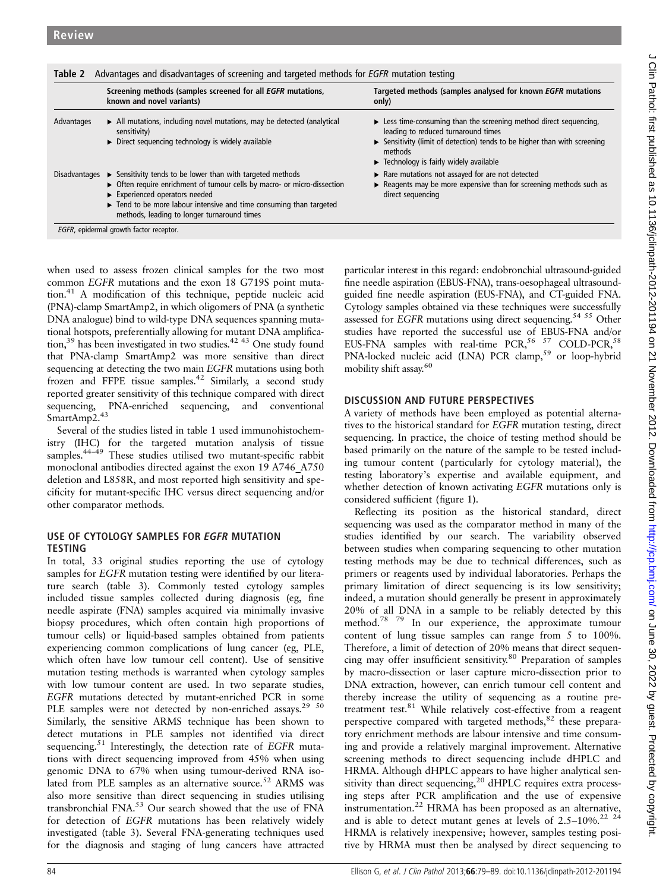| Table 2       | Advantages and disadvantages of screening and targeted methods for <i>EGFR</i> mutation testing                                                                                                                                                                                                           |                                                                                                                                                                                                                                                                                                |  |  |  |
|---------------|-----------------------------------------------------------------------------------------------------------------------------------------------------------------------------------------------------------------------------------------------------------------------------------------------------------|------------------------------------------------------------------------------------------------------------------------------------------------------------------------------------------------------------------------------------------------------------------------------------------------|--|--|--|
|               | Screening methods (samples screened for all EGFR mutations,<br>known and novel variants)                                                                                                                                                                                                                  | Targeted methods (samples analysed for known EGFR mutations<br>only)                                                                                                                                                                                                                           |  |  |  |
| Advantages    | All mutations, including novel mutations, may be detected (analytical<br>sensitivity)<br>$\triangleright$ Direct sequencing technology is widely available                                                                                                                                                | $\triangleright$ Less time-consuming than the screening method direct sequencing,<br>leading to reduced turnaround times<br>$\triangleright$ Sensitivity (limit of detection) tends to be higher than with screening<br>methods<br>$\blacktriangleright$ Technology is fairly widely available |  |  |  |
| Disadvantages | $\triangleright$ Sensitivity tends to be lower than with targeted methods<br>• Often require enrichment of tumour cells by macro- or micro-dissection<br>Experienced operators needed<br>Tend to be more labour intensive and time consuming than targeted<br>methods, leading to longer turnaround times | Rare mutations not assayed for are not detected<br>$\triangleright$ Reagents may be more expensive than for screening methods such as<br>direct sequencing                                                                                                                                     |  |  |  |

EGFR, epidermal growth factor receptor.

when used to assess frozen clinical samples for the two most common EGFR mutations and the exon 18 G719S point mutation.41 A modification of this technique, peptide nucleic acid (PNA)-clamp SmartAmp2, in which oligomers of PNA (a synthetic DNA analogue) bind to wild-type DNA sequences spanning mutational hotspots, preferentially allowing for mutant DNA amplification,39 has been investigated in two studies.42 43 One study found that PNA-clamp SmartAmp2 was more sensitive than direct sequencing at detecting the two main EGFR mutations using both frozen and FFPE tissue samples.<sup>42</sup> Similarly, a second study reported greater sensitivity of this technique compared with direct sequencing, PNA-enriched sequencing, and conventional SmartAmp<sub>2.43</sub>

Several of the studies listed in table 1 used immunohistochemistry (IHC) for the targeted mutation analysis of tissue samples.<sup>44–49</sup> These studies utilised two mutant-specific rabbit monoclonal antibodies directed against the exon 19 A746\_A750 deletion and L858R, and most reported high sensitivity and specificity for mutant-specific IHC versus direct sequencing and/or other comparator methods.

### USE OF CYTOLOGY SAMPLES FOR EGFR MUTATION TESTING

In total, 33 original studies reporting the use of cytology samples for EGFR mutation testing were identified by our literature search (table 3). Commonly tested cytology samples included tissue samples collected during diagnosis (eg, fine needle aspirate (FNA) samples acquired via minimally invasive biopsy procedures, which often contain high proportions of tumour cells) or liquid-based samples obtained from patients experiencing common complications of lung cancer (eg, PLE, which often have low tumour cell content). Use of sensitive mutation testing methods is warranted when cytology samples with low tumour content are used. In two separate studies, EGFR mutations detected by mutant-enriched PCR in some PLE samples were not detected by non-enriched assays.<sup>29 50</sup> Similarly, the sensitive ARMS technique has been shown to detect mutations in PLE samples not identified via direct sequencing.<sup>51</sup> Interestingly, the detection rate of EGFR mutations with direct sequencing improved from 45% when using genomic DNA to 67% when using tumour-derived RNA isolated from PLE samples as an alternative source.<sup>52</sup> ARMS was also more sensitive than direct sequencing in studies utilising transbronchial FNA.53 Our search showed that the use of FNA for detection of EGFR mutations has been relatively widely investigated (table 3). Several FNA-generating techniques used for the diagnosis and staging of lung cancers have attracted

particular interest in this regard: endobronchial ultrasound-guided fine needle aspiration (EBUS-FNA), trans-oesophageal ultrasoundguided fine needle aspiration (EUS-FNA), and CT-guided FNA. Cytology samples obtained via these techniques were successfully assessed for *EGFR* mutations using direct sequencing.<sup>54 55</sup> Other studies have reported the successful use of EBUS-FNA and/or EUS-FNA samples with real-time PCR,  $56 \times 57$  COLD-PCR,  $58$ PNA-locked nucleic acid (LNA) PCR clamp,<sup>59</sup> or loop-hybrid mobility shift assay.<sup>60</sup>

# DISCUSSION AND FUTURE PERSPECTIVES

A variety of methods have been employed as potential alternatives to the historical standard for EGFR mutation testing, direct sequencing. In practice, the choice of testing method should be based primarily on the nature of the sample to be tested including tumour content (particularly for cytology material), the testing laboratory's expertise and available equipment, and whether detection of known activating EGFR mutations only is considered sufficient (figure 1).

Reflecting its position as the historical standard, direct sequencing was used as the comparator method in many of the studies identified by our search. The variability observed between studies when comparing sequencing to other mutation testing methods may be due to technical differences, such as primers or reagents used by individual laboratories. Perhaps the primary limitation of direct sequencing is its low sensitivity; indeed, a mutation should generally be present in approximately 20% of all DNA in a sample to be reliably detected by this method.78 79 In our experience, the approximate tumour content of lung tissue samples can range from 5 to 100%. Therefore, a limit of detection of 20% means that direct sequencing may offer insufficient sensitivity.<sup>80</sup> Preparation of samples by macro-dissection or laser capture micro-dissection prior to DNA extraction, however, can enrich tumour cell content and thereby increase the utility of sequencing as a routine pretreatment test.<sup>81</sup> While relatively cost-effective from a reagent perspective compared with targeted methods, $82$  these preparatory enrichment methods are labour intensive and time consuming and provide a relatively marginal improvement. Alternative screening methods to direct sequencing include dHPLC and HRMA. Although dHPLC appears to have higher analytical sensitivity than direct sequencing,<sup>20</sup> dHPLC requires extra processing steps after PCR amplification and the use of expensive instrumentation.<sup>22</sup> HRMA has been proposed as an alternative, and is able to detect mutant genes at levels of  $2.5-10\%$ .<sup>22</sup> <sup>24</sup> HRMA is relatively inexpensive; however, samples testing positive by HRMA must then be analysed by direct sequencing to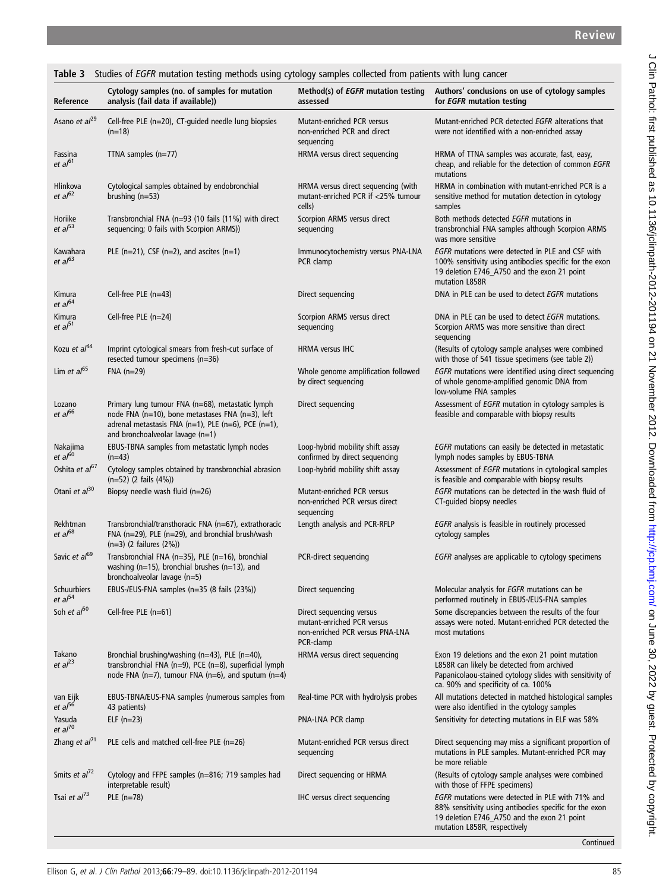| Studies of EGFR mutation testing methods using cytology samples collected from patients with lung cancer<br>Table 3 |                                                                                                                                                                                                            |                                                                                                        |                                                                                                                                                                                                   |  |  |  |  |
|---------------------------------------------------------------------------------------------------------------------|------------------------------------------------------------------------------------------------------------------------------------------------------------------------------------------------------------|--------------------------------------------------------------------------------------------------------|---------------------------------------------------------------------------------------------------------------------------------------------------------------------------------------------------|--|--|--|--|
| Reference                                                                                                           | Cytology samples (no. of samples for mutation<br>analysis (fail data if available))                                                                                                                        | Method(s) of <i>EGFR</i> mutation testing<br>assessed                                                  | Authors' conclusions on use of cytology samples<br>for <i>EGFR</i> mutation testing                                                                                                               |  |  |  |  |
| Asano et al <sup>29</sup>                                                                                           | Cell-free PLE (n=20), CT-quided needle lung biopsies<br>$(n=18)$                                                                                                                                           | Mutant-enriched PCR versus<br>non-enriched PCR and direct<br>sequencing                                | Mutant-enriched PCR detected EGFR alterations that<br>were not identified with a non-enriched assay                                                                                               |  |  |  |  |
| Fassina<br>et al <sup>61</sup>                                                                                      | TTNA samples $(n=77)$                                                                                                                                                                                      | HRMA versus direct sequencing                                                                          | HRMA of TTNA samples was accurate, fast, easy,<br>cheap, and reliable for the detection of common EGFR<br>mutations                                                                               |  |  |  |  |
| Hlinkova<br>et al <sup>62</sup>                                                                                     | Cytological samples obtained by endobronchial<br>brushing $(n=53)$                                                                                                                                         | HRMA versus direct sequencing (with<br>mutant-enriched PCR if <25% tumour<br>cells)                    | HRMA in combination with mutant-enriched PCR is a<br>sensitive method for mutation detection in cytology<br>samples                                                                               |  |  |  |  |
| Horiike<br>et al <sup>53</sup>                                                                                      | Transbronchial FNA (n=93 (10 fails (11%) with direct<br>sequencing; 0 fails with Scorpion ARMS))                                                                                                           | Scorpion ARMS versus direct<br>sequencing                                                              | Both methods detected EGFR mutations in<br>transbronchial FNA samples although Scorpion ARMS<br>was more sensitive                                                                                |  |  |  |  |
| Kawahara<br>et al <sup>63</sup>                                                                                     | PLE $(n=21)$ , CSF $(n=2)$ , and ascites $(n=1)$                                                                                                                                                           | Immunocytochemistry versus PNA-LNA<br>PCR clamp                                                        | EGFR mutations were detected in PLE and CSF with<br>100% sensitivity using antibodies specific for the exon<br>19 deletion E746_A750 and the exon 21 point<br>mutation L858R                      |  |  |  |  |
| Kimura<br>et al <sup>64</sup>                                                                                       | Cell-free PLE $(n=43)$                                                                                                                                                                                     | Direct sequencing                                                                                      | DNA in PLE can be used to detect EGFR mutations                                                                                                                                                   |  |  |  |  |
| Kimura<br>et al $51$                                                                                                | Cell-free PLE $(n=24)$                                                                                                                                                                                     | Scorpion ARMS versus direct<br>sequencing                                                              | DNA in PLE can be used to detect EGFR mutations.<br>Scorpion ARMS was more sensitive than direct<br>sequencing                                                                                    |  |  |  |  |
| Kozu et al <sup>44</sup>                                                                                            | Imprint cytological smears from fresh-cut surface of<br>resected tumour specimens (n=36)                                                                                                                   | <b>HRMA</b> versus IHC                                                                                 | (Results of cytology sample analyses were combined<br>with those of 541 tissue specimens (see table 2))                                                                                           |  |  |  |  |
| Lim et $a^{65}$                                                                                                     | $FNA$ (n=29)                                                                                                                                                                                               | Whole genome amplification followed<br>by direct sequencing                                            | EGFR mutations were identified using direct sequencing<br>of whole genome-amplified genomic DNA from<br>low-volume FNA samples                                                                    |  |  |  |  |
| Lozano<br>et al <sup>66</sup>                                                                                       | Primary lung tumour FNA (n=68), metastatic lymph<br>node FNA (n=10), bone metastases FNA (n=3), left<br>adrenal metastasis FNA $(n=1)$ , PLE $(n=6)$ , PCE $(n=1)$ ,<br>and bronchoalveolar lavage $(n=1)$ | Direct sequencing                                                                                      | Assessment of EGFR mutation in cytology samples is<br>feasible and comparable with biopsy results                                                                                                 |  |  |  |  |
| Nakajima<br>et al <sup>60</sup>                                                                                     | EBUS-TBNA samples from metastatic lymph nodes<br>$(n=43)$                                                                                                                                                  | Loop-hybrid mobility shift assay<br>confirmed by direct sequencing                                     | EGFR mutations can easily be detected in metastatic<br>lymph nodes samples by EBUS-TBNA                                                                                                           |  |  |  |  |
| Oshita et al <sup>67</sup>                                                                                          | Cytology samples obtained by transbronchial abrasion<br>$(n=52)$ (2 fails $(4%)$ )                                                                                                                         | Loop-hybrid mobility shift assay                                                                       | Assessment of EGFR mutations in cytological samples<br>is feasible and comparable with biopsy results                                                                                             |  |  |  |  |
| Otani et al <sup>30</sup>                                                                                           | Biopsy needle wash fluid $(n=26)$                                                                                                                                                                          | Mutant-enriched PCR versus<br>non-enriched PCR versus direct<br>sequencing                             | EGFR mutations can be detected in the wash fluid of<br>CT-guided biopsy needles                                                                                                                   |  |  |  |  |
| Rekhtman<br>et al <sup>68</sup>                                                                                     | Transbronchial/transthoracic FNA (n=67), extrathoracic<br>FNA ( $n=29$ ), PLE ( $n=29$ ), and bronchial brush/wash<br>$(n=3)$ (2 failures $(2%)$ )                                                         | Length analysis and PCR-RFLP                                                                           | <i>EGFR</i> analysis is feasible in routinely processed<br>cytology samples                                                                                                                       |  |  |  |  |
| Savic et al <sup>69</sup>                                                                                           | Transbronchial FNA (n=35), PLE (n=16), bronchial<br>washing (n=15), bronchial brushes (n=13), and<br>bronchoalveolar lavage (n=5)                                                                          | PCR-direct sequencing                                                                                  | <i>EGFR</i> analyses are applicable to cytology specimens                                                                                                                                         |  |  |  |  |
| Schuurbiers<br>et al <sup>54</sup>                                                                                  | EBUS-/EUS-FNA samples (n=35 (8 fails (23%))                                                                                                                                                                | Direct sequencing                                                                                      | Molecular analysis for <i>EGFR</i> mutations can be<br>performed routinely in EBUS-/EUS-FNA samples                                                                                               |  |  |  |  |
| Soh et $a^{50}$                                                                                                     | Cell-free PLE (n=61)                                                                                                                                                                                       | Direct sequencing versus<br>mutant-enriched PCR versus<br>non-enriched PCR versus PNA-LNA<br>PCR-clamp | Some discrepancies between the results of the four<br>assays were noted. Mutant-enriched PCR detected the<br>most mutations                                                                       |  |  |  |  |
| Takano<br>et al <sup>23</sup>                                                                                       | Bronchial brushing/washing (n=43), PLE (n=40),<br>transbronchial FNA ( $n=9$ ), PCE ( $n=8$ ), superficial lymph<br>node FNA (n=7), tumour FNA (n=6), and sputum (n=4)                                     | HRMA versus direct sequencing                                                                          | Exon 19 deletions and the exon 21 point mutation<br>L858R can likely be detected from archived<br>Papanicolaou-stained cytology slides with sensitivity of<br>ca. 90% and specificity of ca. 100% |  |  |  |  |
| van Eijk<br>et al <sup>56</sup>                                                                                     | EBUS-TBNA/EUS-FNA samples (numerous samples from<br>43 patients)                                                                                                                                           | Real-time PCR with hydrolysis probes                                                                   | All mutations detected in matched histological samples<br>were also identified in the cytology samples                                                                                            |  |  |  |  |
| Yasuda<br>et al <sup>70</sup>                                                                                       | ELF $(n=23)$                                                                                                                                                                                               | PNA-LNA PCR clamp                                                                                      | Sensitivity for detecting mutations in ELF was 58%                                                                                                                                                |  |  |  |  |
| Zhang et $al71$                                                                                                     | PLE cells and matched cell-free PLE (n=26)                                                                                                                                                                 | Mutant-enriched PCR versus direct<br>sequencing                                                        | Direct sequencing may miss a significant proportion of<br>mutations in PLE samples. Mutant-enriched PCR may<br>be more reliable                                                                   |  |  |  |  |
| Smits et al <sup>72</sup>                                                                                           | Cytology and FFPE samples (n=816; 719 samples had<br>interpretable result)                                                                                                                                 | Direct sequencing or HRMA                                                                              | (Results of cytology sample analyses were combined<br>with those of FFPE specimens)                                                                                                               |  |  |  |  |
| Tsai et $al^{\prime 3}$                                                                                             | PLE $(n=78)$                                                                                                                                                                                               | IHC versus direct sequencing                                                                           | EGFR mutations were detected in PLE with 71% and<br>88% sensitivity using antibodies specific for the exon<br>19 deletion E746_A750 and the exon 21 point<br>mutation L858R, respectively         |  |  |  |  |

**Continued** 

J Clin Pathol: first published as 10.1136/jclinpath-2012-201194 on 21 November 2012. Downloaded from http://jcp.bmj.com/ on June 30, 2022 by guest. Protected by copyright. J Clin Pathol: first published as 10.1136/jclinpath-2012-201194 on 21 November 2012. Downloaded from <http://jcp.bmj.com/> on June 30, 2022 by guest. Protected by copyright.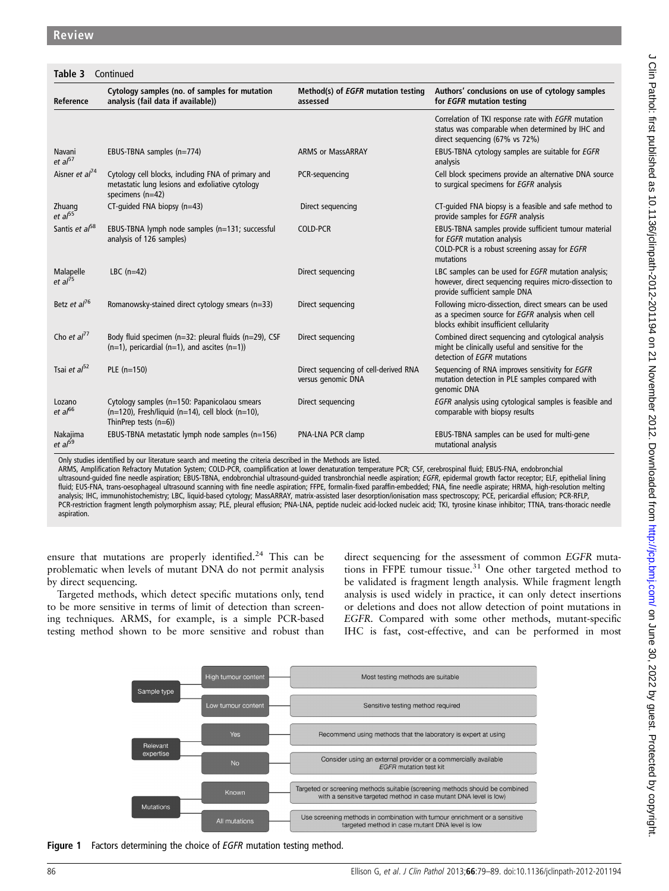|                                  | <b>Table 3</b> Continued                                                                                                        |                                                             |                                                                                                                                                      |  |  |  |
|----------------------------------|---------------------------------------------------------------------------------------------------------------------------------|-------------------------------------------------------------|------------------------------------------------------------------------------------------------------------------------------------------------------|--|--|--|
| Reference                        | Cytology samples (no. of samples for mutation<br>analysis (fail data if available))                                             | Method(s) of EGFR mutation testing<br>assessed              | Authors' conclusions on use of cytology samples<br>for EGFR mutation testing                                                                         |  |  |  |
|                                  |                                                                                                                                 |                                                             | Correlation of TKI response rate with EGFR mutation<br>status was comparable when determined by IHC and<br>direct sequencing (67% vs 72%)            |  |  |  |
| Navani<br>et al <sup>57</sup>    | EBUS-TBNA samples (n=774)                                                                                                       | <b>ARMS or MassARRAY</b>                                    | EBUS-TBNA cytology samples are suitable for EGFR<br>analysis                                                                                         |  |  |  |
| Aisner et al <sup>74</sup>       | Cytology cell blocks, including FNA of primary and<br>metastatic lung lesions and exfoliative cytology<br>specimens $(n=42)$    | PCR-sequencing                                              | Cell block specimens provide an alternative DNA source<br>to surgical specimens for EGFR analysis                                                    |  |  |  |
| Zhuang<br>et al <sup>55</sup>    | CT-quided FNA biopsy (n=43)                                                                                                     | Direct sequencing                                           | CT-quided FNA biopsy is a feasible and safe method to<br>provide samples for EGFR analysis                                                           |  |  |  |
| Santis et al <sup>58</sup>       | EBUS-TBNA lymph node samples (n=131; successful<br>analysis of 126 samples)                                                     | <b>COLD-PCR</b>                                             | EBUS-TBNA samples provide sufficient tumour material<br>for EGFR mutation analysis<br>COLD-PCR is a robust screening assay for EGFR<br>mutations     |  |  |  |
| Malapelle<br>et al <sup>75</sup> | LBC $(n=42)$                                                                                                                    | Direct sequencing                                           | LBC samples can be used for EGFR mutation analysis;<br>however, direct sequencing requires micro-dissection to<br>provide sufficient sample DNA      |  |  |  |
| Betz et al <sup>76</sup>         | Romanowsky-stained direct cytology smears (n=33)                                                                                | Direct sequencing                                           | Following micro-dissection, direct smears can be used<br>as a specimen source for EGFR analysis when cell<br>blocks exhibit insufficient cellularity |  |  |  |
| Cho et $al^{77}$                 | Body fluid specimen (n=32: pleural fluids (n=29), CSF<br>$(n=1)$ , pericardial $(n=1)$ , and ascites $(n=1)$ )                  | Direct sequencing                                           | Combined direct sequencing and cytological analysis<br>might be clinically useful and sensitive for the<br>detection of EGFR mutations               |  |  |  |
| Tsai et $a^{52}$                 | PLE (n=150)                                                                                                                     | Direct sequencing of cell-derived RNA<br>versus genomic DNA | Sequencing of RNA improves sensitivity for EGFR<br>mutation detection in PLE samples compared with<br>genomic DNA                                    |  |  |  |
| Lozano<br>et al <sup>66</sup>    | Cytology samples (n=150: Papanicolaou smears<br>$(n=120)$ , Fresh/liquid (n=14), cell block (n=10),<br>ThinPrep tests $(n=6)$ ) | Direct sequencing                                           | EGFR analysis using cytological samples is feasible and<br>comparable with biopsy results                                                            |  |  |  |
| Nakajima<br>et al <sup>59</sup>  | EBUS-TBNA metastatic lymph node samples (n=156)                                                                                 | PNA-LNA PCR clamp                                           | EBUS-TBNA samples can be used for multi-gene<br>mutational analysis                                                                                  |  |  |  |

Only studies identified by our literature search and meeting the criteria described in the Methods are listed.

ARMS, Amplification Refractory Mutation System; COLD-PCR, coamplification at lower denaturation temperature PCR; CSF, cerebrospinal fluid; EBUS-FNA, endobronchial ultrasound-guided fine needle aspiration; EBUS-TBNA, endobronchial ultrasound-guided transbronchial needle aspiration; EGFR, epidermal growth factor receptor; ELF, epithelial lining fluid; EUS-FNA, trans-oesophageal ultrasound scanning with fine needle aspiration; FFPE, formalin-fixed paraffin-embedded; FNA, fine needle aspirate; HRMA, high-resolution melting analysis; IHC, immunohistochemistry; LBC, liquid-based cytology; MassARRAY, matrix-assisted laser desorption/ionisation mass spectroscopy; PCE, pericardial effusion; PCR-RFLP, PCR-restriction fragment length polymorphism assay; PLE, pleural effusion; PNA-LNA, peptide nucleic acid-locked nucleic acid; TKI, tyrosine kinase inhibitor; TTNA, trans-thoracic needle aspiration.

ensure that mutations are properly identified.<sup>24</sup> This can be problematic when levels of mutant DNA do not permit analysis by direct sequencing.

Targeted methods, which detect specific mutations only, tend to be more sensitive in terms of limit of detection than screening techniques. ARMS, for example, is a simple PCR-based testing method shown to be more sensitive and robust than direct sequencing for the assessment of common EGFR mutations in FFPE tumour tissue.<sup>31</sup> One other targeted method to be validated is fragment length analysis. While fragment length analysis is used widely in practice, it can only detect insertions or deletions and does not allow detection of point mutations in EGFR. Compared with some other methods, mutant-specific IHC is fast, cost-effective, and can be performed in most



Figure 1 Factors determining the choice of EGFR mutation testing method.

 $\epsilon$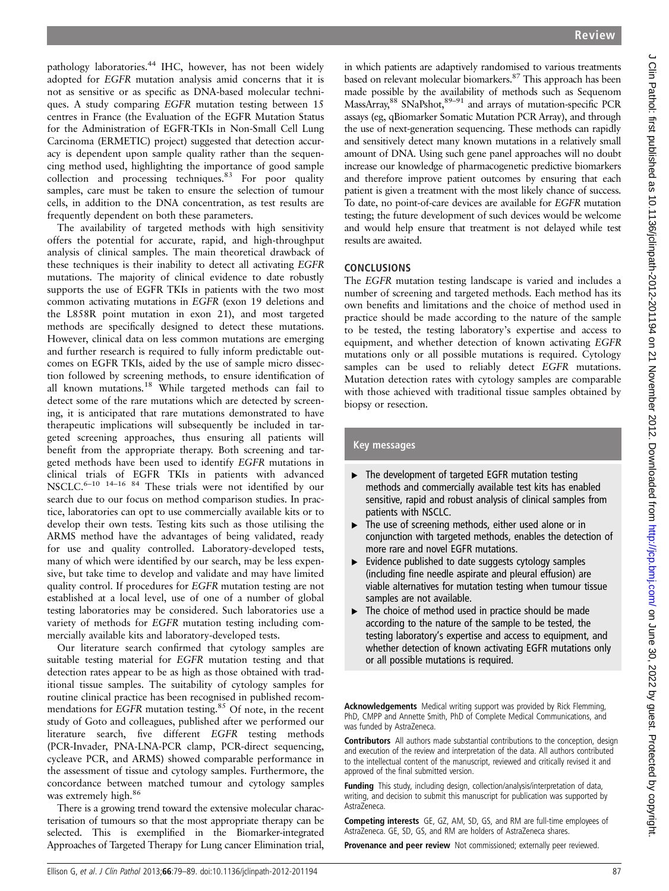pathology laboratories.<sup>44</sup> IHC, however, has not been widely adopted for EGFR mutation analysis amid concerns that it is not as sensitive or as specific as DNA-based molecular techniques. A study comparing EGFR mutation testing between 15 centres in France (the Evaluation of the EGFR Mutation Status for the Administration of EGFR-TKIs in Non-Small Cell Lung Carcinoma (ERMETIC) project) suggested that detection accuracy is dependent upon sample quality rather than the sequencing method used, highlighting the importance of good sample collection and processing techniques.<sup>83</sup> For poor quality samples, care must be taken to ensure the selection of tumour cells, in addition to the DNA concentration, as test results are frequently dependent on both these parameters.

The availability of targeted methods with high sensitivity offers the potential for accurate, rapid, and high-throughput analysis of clinical samples. The main theoretical drawback of these techniques is their inability to detect all activating EGFR mutations. The majority of clinical evidence to date robustly supports the use of EGFR TKIs in patients with the two most common activating mutations in EGFR (exon 19 deletions and the L858R point mutation in exon 21), and most targeted methods are specifically designed to detect these mutations. However, clinical data on less common mutations are emerging and further research is required to fully inform predictable outcomes on EGFR TKIs, aided by the use of sample micro dissection followed by screening methods, to ensure identification of all known mutations.<sup>18</sup> While targeted methods can fail to detect some of the rare mutations which are detected by screening, it is anticipated that rare mutations demonstrated to have therapeutic implications will subsequently be included in targeted screening approaches, thus ensuring all patients will benefit from the appropriate therapy. Both screening and targeted methods have been used to identify EGFR mutations in clinical trials of EGFR TKIs in patients with advanced NSCLC.<sup>6–10</sup> <sup>14–16</sup> <sup>84</sup> These trials were not identified by our search due to our focus on method comparison studies. In practice, laboratories can opt to use commercially available kits or to develop their own tests. Testing kits such as those utilising the ARMS method have the advantages of being validated, ready for use and quality controlled. Laboratory-developed tests, many of which were identified by our search, may be less expensive, but take time to develop and validate and may have limited quality control. If procedures for EGFR mutation testing are not established at a local level, use of one of a number of global testing laboratories may be considered. Such laboratories use a variety of methods for EGFR mutation testing including commercially available kits and laboratory-developed tests.

Our literature search confirmed that cytology samples are suitable testing material for EGFR mutation testing and that detection rates appear to be as high as those obtained with traditional tissue samples. The suitability of cytology samples for routine clinical practice has been recognised in published recommendations for EGFR mutation testing.<sup>85</sup> Of note, in the recent study of Goto and colleagues, published after we performed our literature search, five different EGFR testing methods (PCR-Invader, PNA-LNA-PCR clamp, PCR-direct sequencing, cycleave PCR, and ARMS) showed comparable performance in the assessment of tissue and cytology samples. Furthermore, the concordance between matched tumour and cytology samples was extremely high.<sup>86</sup>

There is a growing trend toward the extensive molecular characterisation of tumours so that the most appropriate therapy can be selected. This is exemplified in the Biomarker-integrated Approaches of Targeted Therapy for Lung cancer Elimination trial,

in which patients are adaptively randomised to various treatments based on relevant molecular biomarkers.87 This approach has been made possible by the availability of methods such as Sequenom MassArray,<sup>88</sup> SNaPshot,<sup>89-91</sup> and arrays of mutation-specific PCR assays (eg, qBiomarker Somatic Mutation PCR Array), and through the use of next-generation sequencing. These methods can rapidly and sensitively detect many known mutations in a relatively small amount of DNA. Using such gene panel approaches will no doubt increase our knowledge of pharmacogenetic predictive biomarkers and therefore improve patient outcomes by ensuring that each patient is given a treatment with the most likely chance of success. To date, no point-of-care devices are available for EGFR mutation testing; the future development of such devices would be welcome and would help ensure that treatment is not delayed while test results are awaited.

### **CONCLUSIONS**

The EGFR mutation testing landscape is varied and includes a number of screening and targeted methods. Each method has its own benefits and limitations and the choice of method used in practice should be made according to the nature of the sample to be tested, the testing laboratory's expertise and access to equipment, and whether detection of known activating EGFR mutations only or all possible mutations is required. Cytology samples can be used to reliably detect EGFR mutations. Mutation detection rates with cytology samples are comparable with those achieved with traditional tissue samples obtained by biopsy or resection.

### Key messages

- ▸ The development of targeted EGFR mutation testing methods and commercially available test kits has enabled sensitive, rapid and robust analysis of clinical samples from patients with NSCLC.
- The use of screening methods, either used alone or in conjunction with targeted methods, enables the detection of more rare and novel EGFR mutations.
- ▸ Evidence published to date suggests cytology samples (including fine needle aspirate and pleural effusion) are viable alternatives for mutation testing when tumour tissue samples are not available.
- ▶ The choice of method used in practice should be made according to the nature of the sample to be tested, the testing laboratory's expertise and access to equipment, and whether detection of known activating EGFR mutations only or all possible mutations is required.

Acknowledgements Medical writing support was provided by Rick Flemming, PhD, CMPP and Annette Smith, PhD of Complete Medical Communications, and was funded by AstraZeneca.

**Contributors** All authors made substantial contributions to the conception, design and execution of the review and interpretation of the data. All authors contributed to the intellectual content of the manuscript, reviewed and critically revised it and approved of the final submitted version.

Funding This study, including design, collection/analysis/interpretation of data, writing, and decision to submit this manuscript for publication was supported by AstraZeneca.

Competing interests GE, GZ, AM, SD, GS, and RM are full-time employees of AstraZeneca. GE, SD, GS, and RM are holders of AstraZeneca shares.

Provenance and peer review Not commissioned; externally peer reviewed.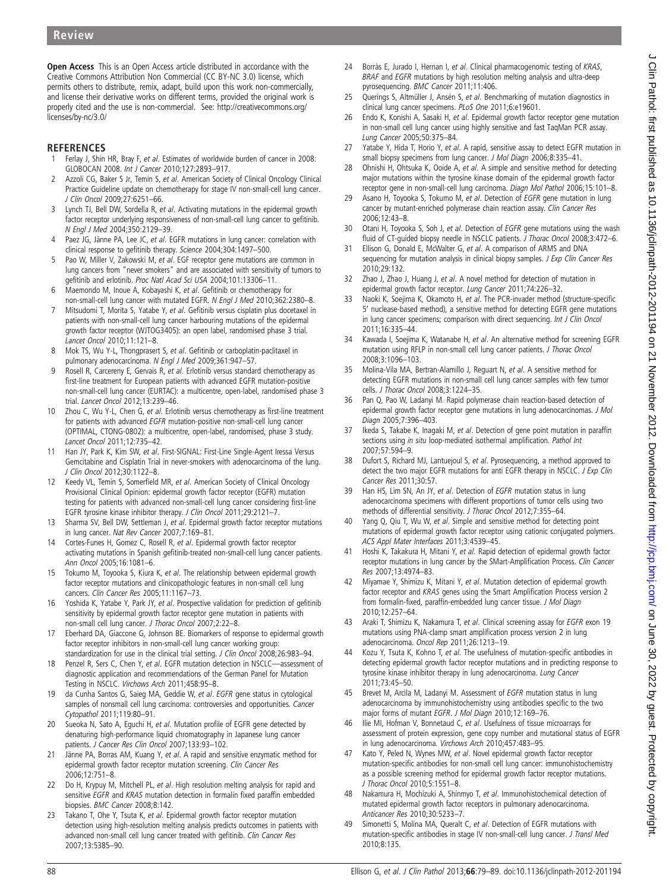$\epsilon$ 

# Review

Open Access This is an Open Access article distributed in accordance with the Creative Commons Attribution Non Commercial (CC BY-NC 3.0) license, which permits others to distribute, remix, adapt, build upon this work non-commercially, and license their derivative works on different terms, provided the original work is properly cited and the use is non-commercial. See: http://creativecommons.org/ licenses/by-nc/3.0/

### **REFERENCES**

- 1 Ferlay J, Shin HR, Bray F, et al. Estimates of worldwide burden of cancer in 2008: GLOBOCAN 2008. Int J Cancer 2010;127:2893–917.
- 2 Azzoli CG, Baker S Jr, Temin S, et al. American Society of Clinical Oncology Clinical Practice Guideline update on chemotherapy for stage IV non-small-cell lung cancer. J Clin Oncol 2009;27:6251–66.
- 3 Lynch TJ, Bell DW, Sordella R, et al. Activating mutations in the epidermal growth factor receptor underlying responsiveness of non-small-cell lung cancer to gefitinib. N Engl J Med 2004;350:2129–39.
- 4 Paez JG, Jänne PA, Lee JC, et al. EGFR mutations in lung cancer: correlation with clinical response to gefitinib therapy. Science 2004;304:1497–500.
- 5 Pao W, Miller V, Zakowski M, et al. EGF receptor gene mutations are common in lung cancers from "never smokers" and are associated with sensitivity of tumors to gefitinib and erlotinib. Proc Natl Acad Sci USA 2004;101:13306–11.
- 6 Maemondo M, Inoue A, Kobayashi K, et al. Gefitinib or chemotherapy for non-small-cell lung cancer with mutated EGFR. N Engl J Med 2010;362:2380–8.
- 7 Mitsudomi T, Morita S, Yatabe Y, et al. Gefitinib versus cisplatin plus docetaxel in patients with non-small-cell lung cancer harbouring mutations of the epidermal growth factor receptor (WJTOG3405): an open label, randomised phase 3 trial. Lancet Oncol 2010;11:121–8.
- 8 Mok TS, Wu Y-L, Thongprasert S, et al. Gefitinib or carboplatin-paclitaxel in pulmonary adenocarcinoma. N Engl J Med 2009;361:947-57.
- 9 Rosell R, Carcereny E, Gervais R, et al. Erlotinib versus standard chemotherapy as first-line treatment for European patients with advanced EGFR mutation-positive non-small-cell lung cancer (EURTAC): a multicentre, open-label, randomised phase 3 trial. Lancet Oncol 2012;13:239–46.
- 10 Zhou C, Wu Y-L, Chen G, et al. Erlotinib versus chemotherapy as first-line treatment for patients with advanced EGFR mutation-positive non-small-cell lung cancer (OPTIMAL, CTONG-0802): a multicentre, open-label, randomised, phase 3 study. Lancet Oncol 2011;12:735–42.
- 11 Han JY, Park K, Kim SW, et al. First-SIGNAL: First-Line Single-Agent Iressa Versus Gemcitabine and Cisplatin Trial in never-smokers with adenocarcinoma of the lung. J Clin Oncol 2012;30:1122–8.
- 12 Keedy VL, Temin S, Somerfield MR, et al. American Society of Clinical Oncology Provisional Clinical Opinion: epidermal growth factor receptor (EGFR) mutation testing for patients with advanced non-small-cell lung cancer considering first-line EGFR tyrosine kinase inhibitor therapy. J Clin Oncol 2011;29:2121–7.
- 13 Sharma SV, Bell DW, Settleman J, et al. Epidermal growth factor receptor mutations in lung cancer. Nat Rev Cancer 2007;7:169–81.
- 14 Cortes-Funes H, Gomez C, Rosell R, et al. Epidermal growth factor receptor activating mutations in Spanish gefitinib-treated non-small-cell lung cancer patients. Ann Oncol 2005;16:1081–6.
- 15 Tokumo M, Toyooka S, Kiura K, et al. The relationship between epidermal growth factor receptor mutations and clinicopathologic features in non-small cell lung cancers. Clin Cancer Res 2005;11:1167–73.
- 16 Yoshida K, Yatabe Y, Park JY, et al. Prospective validation for prediction of gefitinib sensitivity by epidermal growth factor receptor gene mutation in patients with non-small cell lung cancer. J Thorac Oncol 2007;2:22–8.
- 17 Eberhard DA, Giaccone G, Johnson BE. Biomarkers of response to epidermal growth factor receptor inhibitors in non-small-cell lung cancer working group: standardization for use in the clinical trial setting. J Clin Oncol 2008;26:983-94.
- 18 Penzel R, Sers C, Chen Y, et al. EGFR mutation detection in NSCLC—assessment of diagnostic application and recommendations of the German Panel for Mutation Testing in NSCLC. Virchows Arch 2011;458:95–8.
- 19 da Cunha Santos G, Saieg MA, Geddie W, et al. EGFR gene status in cytological samples of nonsmall cell lung carcinoma: controversies and opportunities. Cancer Cytopathol 2011;119:80–91.
- 20 Sueoka N, Sato A, Eguchi H, et al. Mutation profile of EGFR gene detected by denaturing high-performance liquid chromatography in Japanese lung cancer patients. J Cancer Res Clin Oncol 2007;133:93-102.
- 21 Jänne PA, Borras AM, Kuang Y, et al. A rapid and sensitive enzymatic method for epidermal growth factor receptor mutation screening. Clin Cancer Res 2006;12:751–8.
- 22 Do H, Krypuy M, Mitchell PL, et al. High resolution melting analysis for rapid and sensitive EGFR and KRAS mutation detection in formalin fixed paraffin embedded biopsies. BMC Cancer 2008;8:142.
- 23 Takano T, Ohe Y, Tsuta K, et al. Epidermal growth factor receptor mutation detection using high-resolution melting analysis predicts outcomes in patients with advanced non-small cell lung cancer treated with gefitinib. Clin Cancer Res 2007;13:5385–90.
- 24 Borràs E, Jurado I, Hernan I, et al. Clinical pharmacogenomic testing of KRAS, BRAF and EGFR mutations by high resolution melting analysis and ultra-deep pyrosequencing. BMC Cancer 2011;11:406.
- 25 Querings S, Altmüller J, Ansén S, et al. Benchmarking of mutation diagnostics in clinical lung cancer specimens. PLoS One 2011;6:e19601.
- 26 Endo K, Konishi A, Sasaki H, et al. Epidermal growth factor receptor gene mutation in non-small cell lung cancer using highly sensitive and fast TaqMan PCR assay. Lung Cancer 2005;50:375–84.
- 27 Yatabe Y, Hida T, Horio Y, et al. A rapid, sensitive assay to detect EGFR mutation in small biopsy specimens from lung cancer. J Mol Diagn 2006;8:335–41.
- 28 Ohnishi H, Ohtsuka K, Ooide A, et al. A simple and sensitive method for detecting major mutations within the tyrosine kinase domain of the epidermal growth factor receptor gene in non-small-cell lung carcinoma. Diagn Mol Pathol 2006;15:101–8.
- 29 Asano H, Toyooka S, Tokumo M, et al. Detection of EGFR gene mutation in lung cancer by mutant-enriched polymerase chain reaction assay. Clin Cancer Res 2006;12:43–8.
- 30 Otani H, Toyooka S, Soh J, et al. Detection of EGFR gene mutations using the wash fluid of CT-guided biopsy needle in NSCLC patients. J Thorac Oncol 2008;3:472–6.
- 31 Ellison G, Donald E, McWalter G, et al. A comparison of ARMS and DNA sequencing for mutation analysis in clinical biopsy samples. J Exp Clin Cancer Res 2010;29:132.
- 32 Zhao J, Zhao J, Huang J, et al. A novel method for detection of mutation in epidermal growth factor receptor. Lung Cancer 2011;74:226–32.
- 33 Naoki K, Soejima K, Okamoto H, et al. The PCR-invader method (structure-specific 5' nuclease-based method), a sensitive method for detecting EGFR gene mutations in lung cancer specimens; comparison with direct sequencing. Int J Clin Oncol 2011;16:335–44.
- 34 Kawada I, Soejima K, Watanabe H, et al. An alternative method for screening EGFR mutation using RFLP in non-small cell lung cancer patients. J Thorac Oncol 2008;3:1096–103.
- 35 Molina-Vila MA, Bertran-Alamillo J, Reguart N, et al. A sensitive method for detecting EGFR mutations in non-small cell lung cancer samples with few tumor cells. J Thorac Oncol 2008;3:1224–35.
- 36 Pan Q, Pao W, Ladanyi M. Rapid polymerase chain reaction-based detection of epidermal growth factor receptor gene mutations in lung adenocarcinomas. J Mol Diagn 2005;7:396–403.
- 37 Ikeda S, Takabe K, Inagaki M, et al. Detection of gene point mutation in paraffin sections using in situ loop-mediated isothermal amplification. Pathol Int 2007;57:594–9.
- 38 Dufort S, Richard MJ, Lantuejoul S, et al. Pyrosequencing, a method approved to detect the two major EGFR mutations for anti EGFR therapy in NSCLC. J Exp Clin Cancer Res 2011;30:57.
- 39 Han HS, Lim SN, An JY, et al. Detection of EGFR mutation status in lung adenocarcinoma specimens with different proportions of tumor cells using two methods of differential sensitivity. J Thorac Oncol 2012;7:355–64.
- 40 Yang Q, Qiu T, Wu W, et al. Simple and sensitive method for detecting point mutations of epidermal growth factor receptor using cationic conjugated polymers. ACS Appl Mater Interfaces 2011;3:4539–45.
- 41 Hoshi K, Takakura H, Mitani Y, et al. Rapid detection of epidermal growth factor receptor mutations in lung cancer by the SMart-Amplification Process. Clin Cancer Res 2007;13:4974–83.
- 42 Miyamae Y, Shimizu K, Mitani Y, et al. Mutation detection of epidermal growth factor receptor and KRAS genes using the Smart Amplification Process version 2 from formalin-fixed, paraffin-embedded lung cancer tissue. J Mol Diagn 2010;12:257–64.
- 43 Araki T, Shimizu K, Nakamura T, et al. Clinical screening assay for EGFR exon 19 mutations using PNA-clamp smart amplification process version 2 in lung adenocarcinoma. Oncol Rep 2011;26:1213–19.
- 44 Kozu Y, Tsuta K, Kohno T, et al. The usefulness of mutation-specific antibodies in detecting epidermal growth factor receptor mutations and in predicting response to tyrosine kinase inhibitor therapy in lung adenocarcinoma. Lung Cancer 2011;73:45–50.
- 45 Brevet M, Arcila M, Ladanyi M. Assessment of EGFR mutation status in lung adenocarcinoma by immunohistochemistry using antibodies specific to the two major forms of mutant EGFR. J Mol Diagn 2010;12:169–76.
- 46 Ilie MI, Hofman V, Bonnetaud C, et al. Usefulness of tissue microarrays for assessment of protein expression, gene copy number and mutational status of EGFR in lung adenocarcinoma. Virchows Arch 2010;457:483–95.
- 47 Kato Y, Peled N, Wynes MW, et al. Novel epidermal growth factor receptor mutation-specific antibodies for non-small cell lung cancer: immunohistochemistry as a possible screening method for epidermal growth factor receptor mutations. J Thorac Oncol 2010;5:1551–8.
- 48 Nakamura H, Mochizuki A, Shinmyo T, et al. Immunohistochemical detection of mutated epidermal growth factor receptors in pulmonary adenocarcinoma. Anticancer Res 2010;30:5233–7.
- 49 Simonetti S, Molina MA, Queralt C, et al. Detection of EGFR mutations with mutation-specific antibodies in stage IV non-small-cell lung cancer. J Transl Med 2010;8:135.